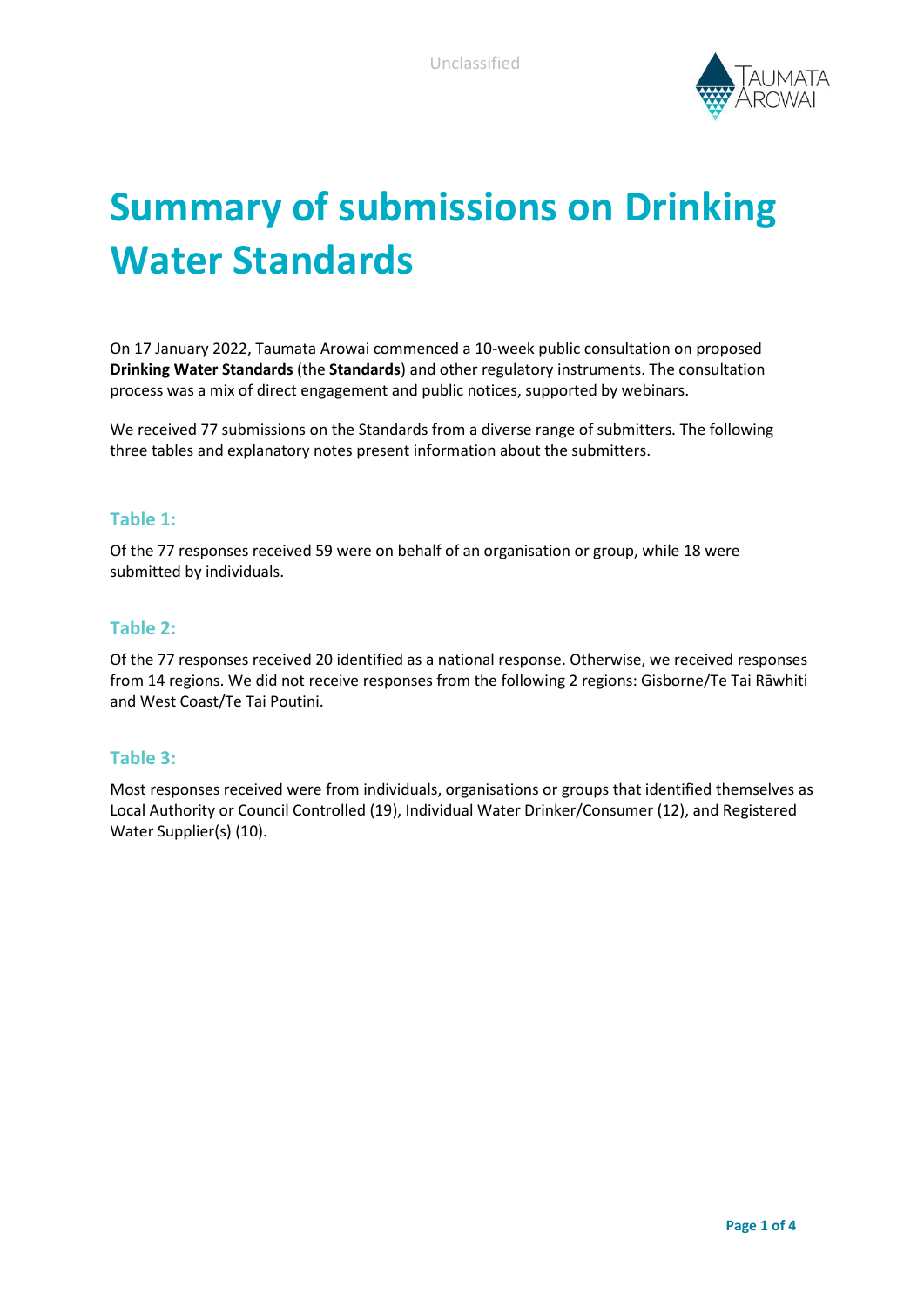

# **Summary of submissions on Drinking Water Standards**

On 17 January 2022, Taumata Arowai commenced a 10-week public consultation on proposed **Drinking Water Standards** (the **Standards**) and other regulatory instruments. The consultation process was a mix of direct engagement and public notices, supported by webinars.

We received 77 submissions on the Standards from a diverse range of submitters. The following three tables and explanatory notes present information about the submitters.

#### **Table 1:**

Of the 77 responses received 59 were on behalf of an organisation or group, while 18 were submitted by individuals.

### **Table 2:**

Of the 77 responses received 20 identified as a national response. Otherwise, we received responses from 14 regions. We did not receive responses from the following 2 regions: Gisborne/Te Tai Rāwhiti and West Coast/Te Tai Poutini.

#### **Table 3:**

Most responses received were from individuals, organisations or groups that identified themselves as Local Authority or Council Controlled (19), Individual Water Drinker/Consumer (12), and Registered Water Supplier(s) (10).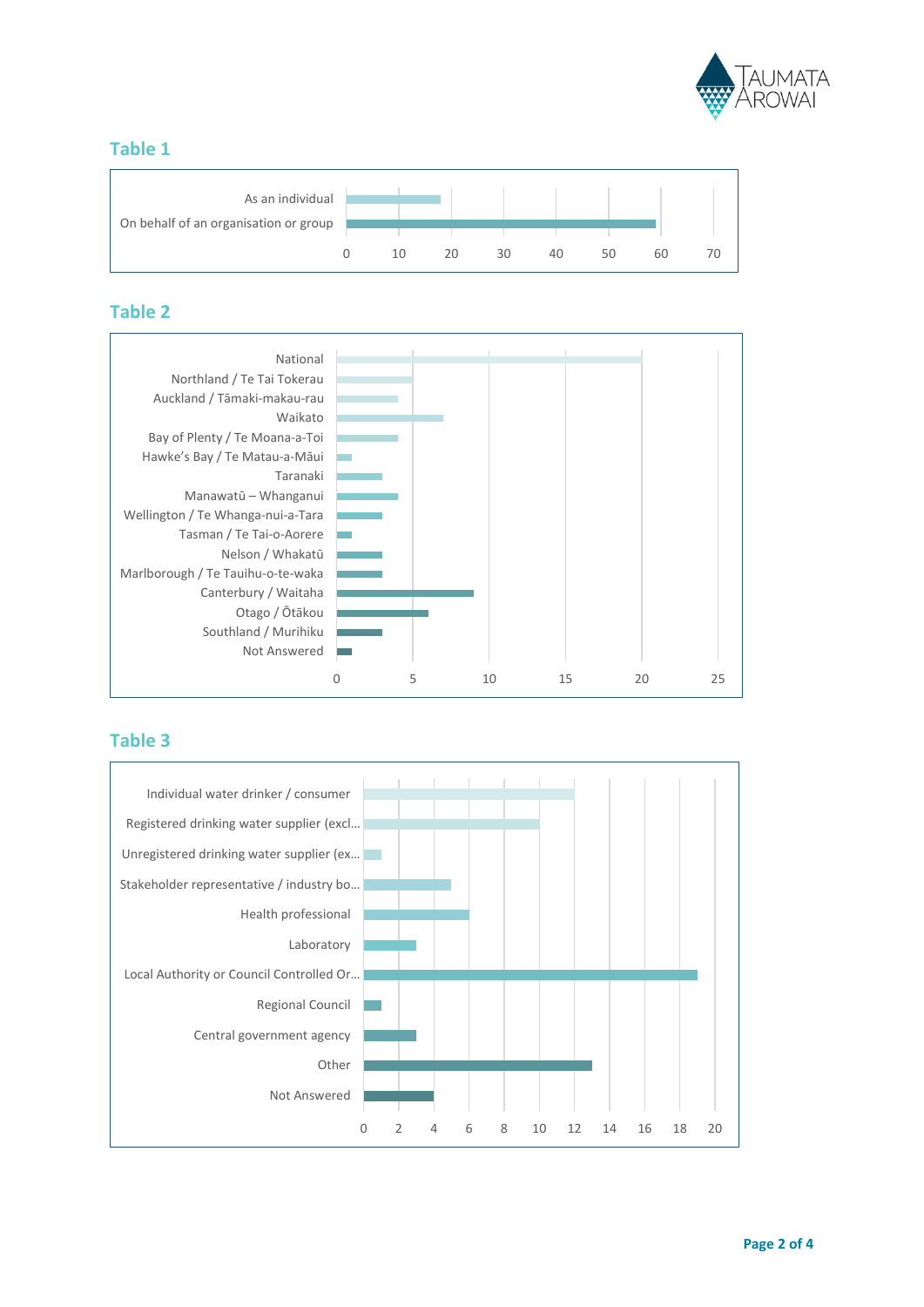

## **Table 1**



## **Table 2**



## **Table 3**

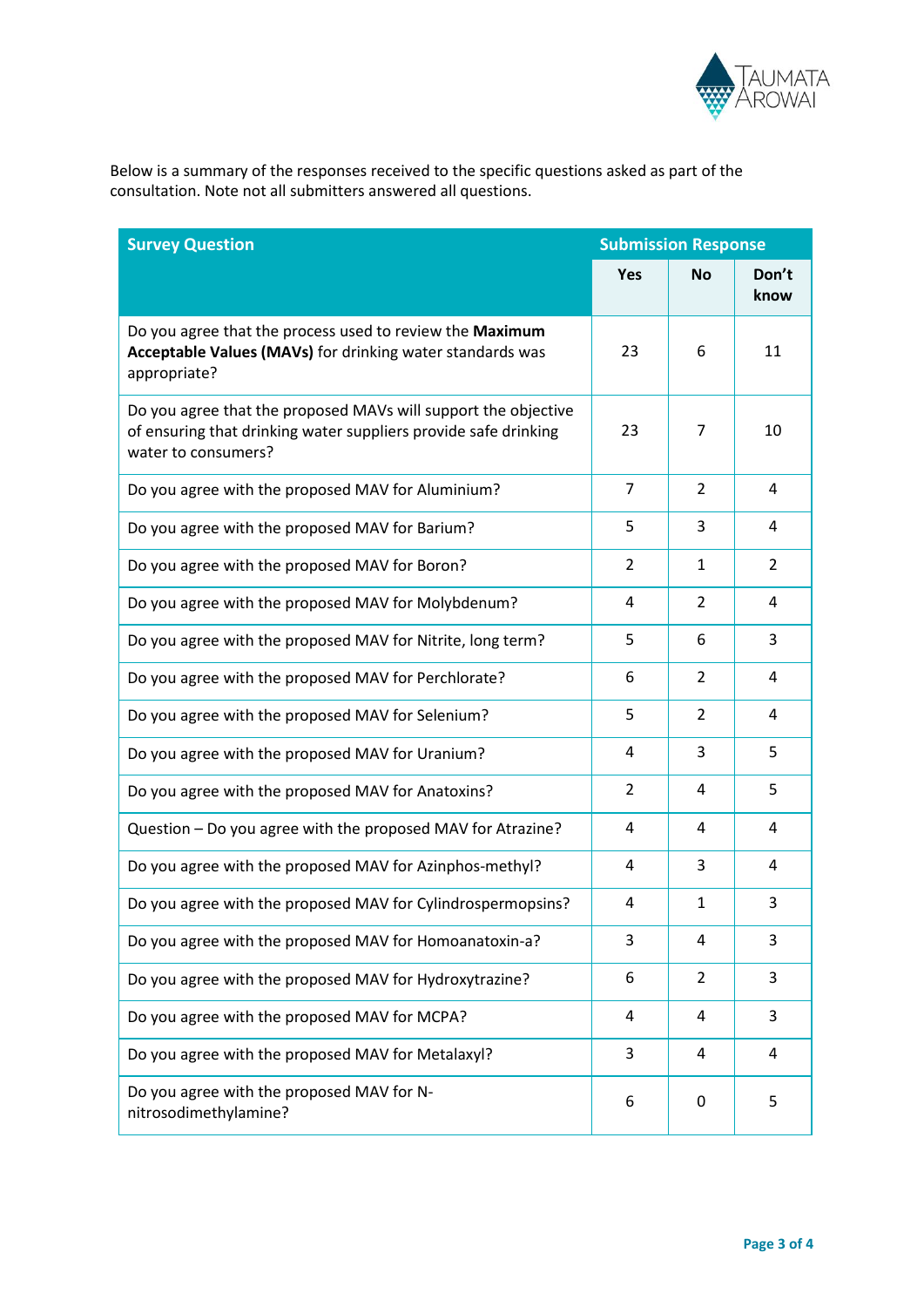

Below is a summary of the responses received to the specific questions asked as part of the consultation. Note not all submitters answered all questions.

| <b>Survey Question</b>                                                                                                                                   | <b>Submission Response</b> |                |               |
|----------------------------------------------------------------------------------------------------------------------------------------------------------|----------------------------|----------------|---------------|
|                                                                                                                                                          | <b>Yes</b>                 | Νo             | Don't<br>know |
| Do you agree that the process used to review the Maximum<br>Acceptable Values (MAVs) for drinking water standards was<br>appropriate?                    | 23                         | 6              | 11            |
| Do you agree that the proposed MAVs will support the objective<br>of ensuring that drinking water suppliers provide safe drinking<br>water to consumers? | 23                         | 7              | 10            |
| Do you agree with the proposed MAV for Aluminium?                                                                                                        | $\overline{7}$             | 2              | 4             |
| Do you agree with the proposed MAV for Barium?                                                                                                           | 5                          | 3              | 4             |
| Do you agree with the proposed MAV for Boron?                                                                                                            | 2                          | 1              | 2             |
| Do you agree with the proposed MAV for Molybdenum?                                                                                                       | 4                          | 2              | 4             |
| Do you agree with the proposed MAV for Nitrite, long term?                                                                                               | 5                          | 6              | 3             |
| Do you agree with the proposed MAV for Perchlorate?                                                                                                      | 6                          | 2              | 4             |
| Do you agree with the proposed MAV for Selenium?                                                                                                         | 5                          | 2              | 4             |
| Do you agree with the proposed MAV for Uranium?                                                                                                          | 4                          | 3              | 5             |
| Do you agree with the proposed MAV for Anatoxins?                                                                                                        | 2                          | 4              | 5             |
| Question - Do you agree with the proposed MAV for Atrazine?                                                                                              | 4                          | 4              | 4             |
| Do you agree with the proposed MAV for Azinphos-methyl?                                                                                                  | 4                          | 3              | 4             |
| Do you agree with the proposed MAV for Cylindrospermopsins?                                                                                              | 4                          | $\mathbf{1}$   | 3             |
| Do you agree with the proposed MAV for Homoanatoxin-a?                                                                                                   | 3                          | 4              | 3             |
| Do you agree with the proposed MAV for Hydroxytrazine?                                                                                                   | 6                          | $\overline{2}$ | 3             |
| Do you agree with the proposed MAV for MCPA?                                                                                                             | 4                          | 4              | 3             |
| Do you agree with the proposed MAV for Metalaxyl?                                                                                                        | 3                          | 4              | 4             |
| Do you agree with the proposed MAV for N-<br>nitrosodimethylamine?                                                                                       | 6                          | 0              | 5             |